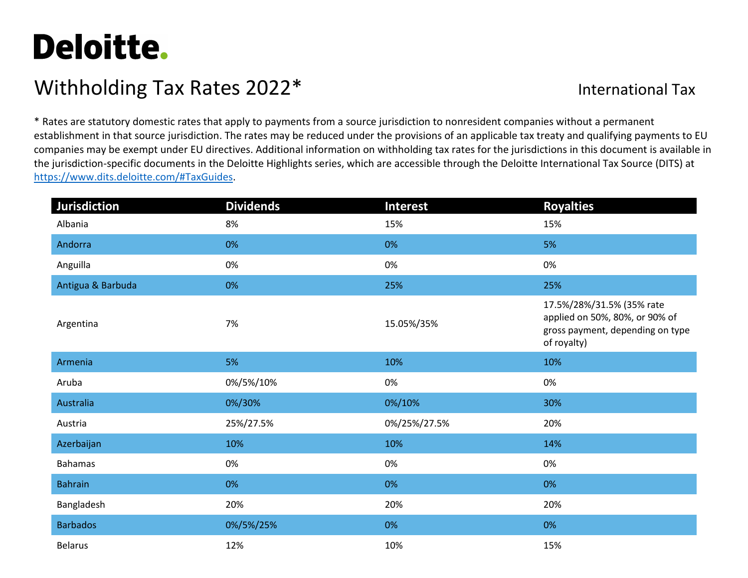## Deloitte.

## Withholding Tax Rates 2022\* International Tax

\* Rates are statutory domestic rates that apply to payments from a source jurisdiction to nonresident companies without a permanent establishment in that source jurisdiction. The rates may be reduced under the provisions of an applicable tax treaty and qualifying payments to EU companies may be exempt under EU directives. Additional information on withholding tax rates for the jurisdictions in this document is available in the jurisdiction-specific documents in the Deloitte Highlights series, which are accessible through the Deloitte International Tax Source (DITS) at [https://www.dits.deloitte.com/#TaxGuides.](https://www.dits.deloitte.com/#TaxGuides)

| <b>Jurisdiction</b> | <b>Dividends</b> | <b>Interest</b> | <b>Royalties</b>                                                                                               |
|---------------------|------------------|-----------------|----------------------------------------------------------------------------------------------------------------|
| Albania             | 8%               | 15%             | 15%                                                                                                            |
| Andorra             | 0%               | 0%              | 5%                                                                                                             |
| Anguilla            | 0%               | 0%              | 0%                                                                                                             |
| Antigua & Barbuda   | 0%               | 25%             | 25%                                                                                                            |
| Argentina           | 7%               | 15.05%/35%      | 17.5%/28%/31.5% (35% rate<br>applied on 50%, 80%, or 90% of<br>gross payment, depending on type<br>of royalty) |
| Armenia             | 5%               | 10%             | 10%                                                                                                            |
| Aruba               | 0%/5%/10%        | 0%              | 0%                                                                                                             |
| Australia           | 0%/30%           | 0%/10%          | 30%                                                                                                            |
| Austria             | 25%/27.5%        | 0%/25%/27.5%    | 20%                                                                                                            |
| Azerbaijan          | 10%              | 10%             | 14%                                                                                                            |
| <b>Bahamas</b>      | 0%               | 0%              | 0%                                                                                                             |
| <b>Bahrain</b>      | 0%               | 0%              | 0%                                                                                                             |
| Bangladesh          | 20%              | 20%             | 20%                                                                                                            |
| <b>Barbados</b>     | 0%/5%/25%        | 0%              | 0%                                                                                                             |
| <b>Belarus</b>      | 12%              | 10%             | 15%                                                                                                            |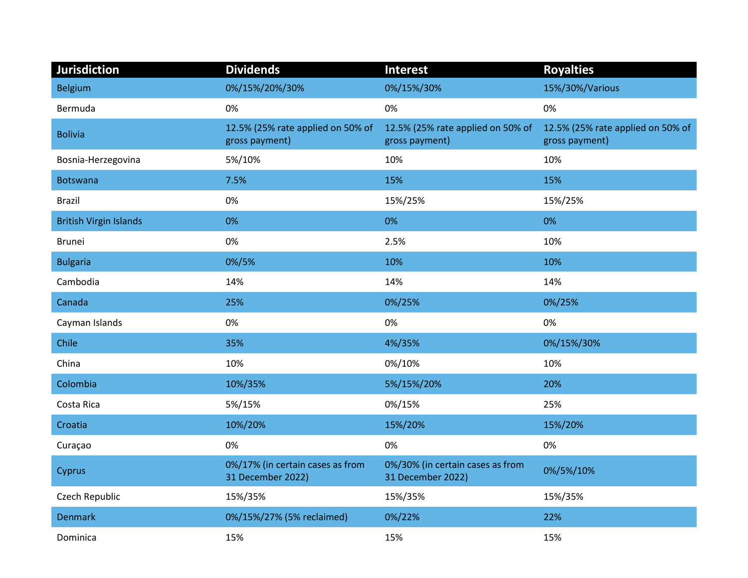| Jurisdiction                  | <b>Dividends</b>                                      | <b>Interest</b>                                       | <b>Royalties</b>                                    |
|-------------------------------|-------------------------------------------------------|-------------------------------------------------------|-----------------------------------------------------|
| <b>Belgium</b>                | 0%/15%/20%/30%                                        | 0%/15%/30%                                            | 15%/30%/Various                                     |
| Bermuda                       | 0%                                                    | 0%                                                    | 0%                                                  |
| <b>Bolivia</b>                | 12.5% (25% rate applied on 50% of<br>gross payment)   | 12.5% (25% rate applied on 50% of<br>gross payment)   | 12.5% (25% rate applied on 50% of<br>gross payment) |
| Bosnia-Herzegovina            | 5%/10%                                                | 10%                                                   | 10%                                                 |
| <b>Botswana</b>               | 7.5%                                                  | 15%                                                   | 15%                                                 |
| <b>Brazil</b>                 | 0%                                                    | 15%/25%                                               | 15%/25%                                             |
| <b>British Virgin Islands</b> | 0%                                                    | 0%                                                    | 0%                                                  |
| <b>Brunei</b>                 | 0%                                                    | 2.5%                                                  | 10%                                                 |
| <b>Bulgaria</b>               | 0%/5%                                                 | 10%                                                   | 10%                                                 |
| Cambodia                      | 14%                                                   | 14%                                                   | 14%                                                 |
| Canada                        | 25%                                                   | 0%/25%                                                | 0%/25%                                              |
| Cayman Islands                | 0%                                                    | 0%                                                    | 0%                                                  |
| Chile                         | 35%                                                   | 4%/35%                                                | 0%/15%/30%                                          |
| China                         | 10%                                                   | 0%/10%                                                | 10%                                                 |
| Colombia                      | 10%/35%                                               | 5%/15%/20%                                            | 20%                                                 |
| Costa Rica                    | 5%/15%                                                | 0%/15%                                                | 25%                                                 |
| Croatia                       | 10%/20%                                               | 15%/20%                                               | 15%/20%                                             |
| Curaçao                       | 0%                                                    | 0%                                                    | 0%                                                  |
| Cyprus                        | 0%/17% (in certain cases as from<br>31 December 2022) | 0%/30% (in certain cases as from<br>31 December 2022) | 0%/5%/10%                                           |
| Czech Republic                | 15%/35%                                               | 15%/35%                                               | 15%/35%                                             |
| <b>Denmark</b>                | 0%/15%/27% (5% reclaimed)                             | 0%/22%                                                | 22%                                                 |
| Dominica                      | 15%                                                   | 15%                                                   | 15%                                                 |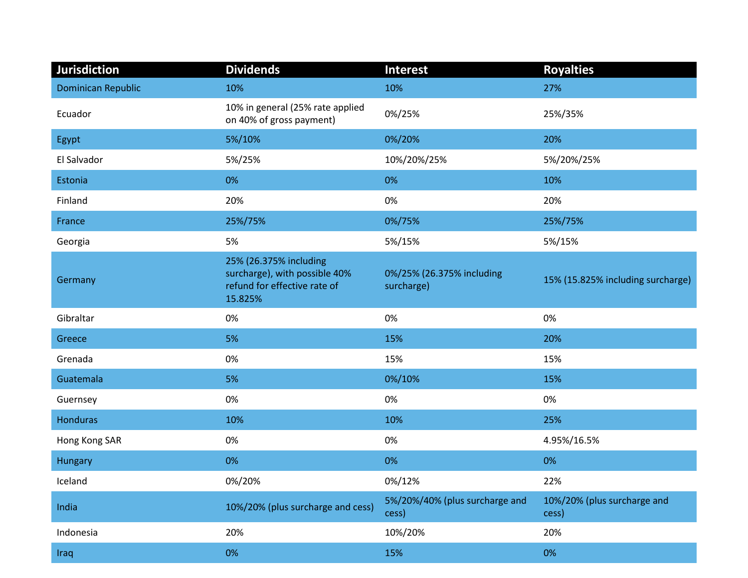| <b>Jurisdiction</b>       | <b>Dividends</b>                                                                                   | <b>Interest</b>                         | <b>Royalties</b>                     |
|---------------------------|----------------------------------------------------------------------------------------------------|-----------------------------------------|--------------------------------------|
| <b>Dominican Republic</b> | 10%                                                                                                | 10%                                     | 27%                                  |
| Ecuador                   | 10% in general (25% rate applied<br>on 40% of gross payment)                                       | 0%/25%                                  | 25%/35%                              |
| Egypt                     | 5%/10%                                                                                             | 0%/20%                                  | 20%                                  |
| El Salvador               | 5%/25%                                                                                             | 10%/20%/25%                             | 5%/20%/25%                           |
| Estonia                   | 0%                                                                                                 | 0%                                      | 10%                                  |
| Finland                   | 20%                                                                                                | 0%                                      | 20%                                  |
| France                    | 25%/75%                                                                                            | 0%/75%                                  | 25%/75%                              |
| Georgia                   | 5%                                                                                                 | 5%/15%                                  | 5%/15%                               |
| Germany                   | 25% (26.375% including<br>surcharge), with possible 40%<br>refund for effective rate of<br>15.825% | 0%/25% (26.375% including<br>surcharge) | 15% (15.825% including surcharge)    |
| Gibraltar                 | 0%                                                                                                 | 0%                                      | 0%                                   |
| Greece                    | 5%                                                                                                 | 15%                                     | 20%                                  |
| Grenada                   | 0%                                                                                                 | 15%                                     | 15%                                  |
| Guatemala                 | 5%                                                                                                 | 0%/10%                                  | 15%                                  |
| Guernsey                  | 0%                                                                                                 | 0%                                      | 0%                                   |
| Honduras                  | 10%                                                                                                | 10%                                     | 25%                                  |
| Hong Kong SAR             | 0%                                                                                                 | 0%                                      | 4.95%/16.5%                          |
| <b>Hungary</b>            | 0%                                                                                                 | 0%                                      | 0%                                   |
| Iceland                   | 0%/20%                                                                                             | 0%/12%                                  | 22%                                  |
| India                     | 10%/20% (plus surcharge and cess)                                                                  | 5%/20%/40% (plus surcharge and<br>cess) | 10%/20% (plus surcharge and<br>cess) |
| Indonesia                 | 20%                                                                                                | 10%/20%                                 | 20%                                  |
| Iraq                      | 0%                                                                                                 | 15%                                     | 0%                                   |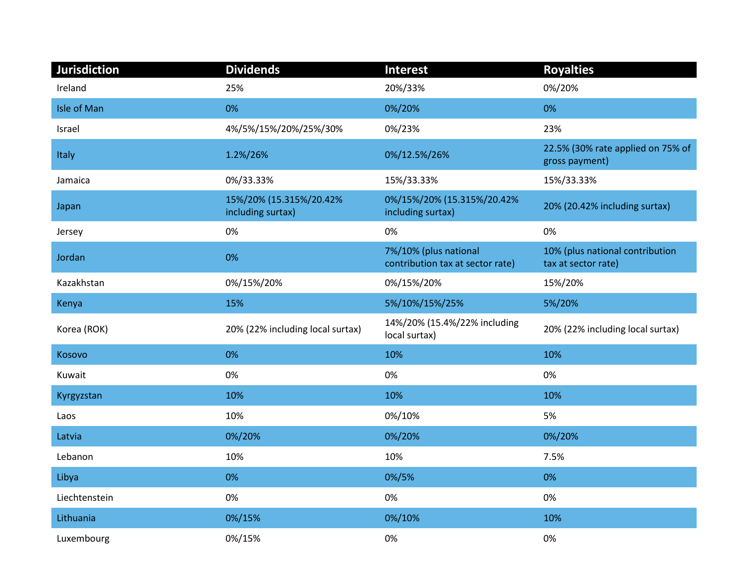| Jurisdiction  | <b>Dividends</b>                             | <b>Interest</b>                                           | <b>Royalties</b>                                       |
|---------------|----------------------------------------------|-----------------------------------------------------------|--------------------------------------------------------|
| Ireland       | 25%                                          | 20%/33%                                                   | 0%/20%                                                 |
| Isle of Man   | 0%                                           | 0%/20%                                                    | 0%                                                     |
| Israel        | 4%/5%/15%/20%/25%/30%                        | 0%/23%                                                    | 23%                                                    |
| Italy         | 1.2%/26%                                     | 0%/12.5%/26%                                              | 22.5% (30% rate applied on 75% of<br>gross payment)    |
| Jamaica       | 0%/33.33%                                    | 15%/33.33%                                                | 15%/33.33%                                             |
| Japan         | 15%/20% (15.315%/20.42%<br>including surtax) | 0%/15%/20% (15.315%/20.42%<br>including surtax)           | 20% (20.42% including surtax)                          |
| Jersey        | 0%                                           | 0%                                                        | 0%                                                     |
| Jordan        | 0%                                           | 7%/10% (plus national<br>contribution tax at sector rate) | 10% (plus national contribution<br>tax at sector rate) |
| Kazakhstan    | 0%/15%/20%                                   | 0%/15%/20%                                                | 15%/20%                                                |
| Kenya         | 15%                                          | 5%/10%/15%/25%                                            | 5%/20%                                                 |
| Korea (ROK)   | 20% (22% including local surtax)             | 14%/20% (15.4%/22% including<br>local surtax)             | 20% (22% including local surtax)                       |
| Kosovo        | 0%                                           | 10%                                                       | 10%                                                    |
| Kuwait        | 0%                                           | 0%                                                        | 0%                                                     |
| Kyrgyzstan    | 10%                                          | 10%                                                       | 10%                                                    |
| Laos          | 10%                                          | 0%/10%                                                    | 5%                                                     |
| Latvia        | 0%/20%                                       | 0%/20%                                                    | 0%/20%                                                 |
| Lebanon       | 10%                                          | 10%                                                       | 7.5%                                                   |
| Libya         | 0%                                           | 0%/5%                                                     | 0%                                                     |
| Liechtenstein | 0%                                           | 0%                                                        | 0%                                                     |
| Lithuania     | 0%/15%                                       | 0%/10%                                                    | 10%                                                    |
| Luxembourg    | 0%/15%                                       | 0%                                                        | 0%                                                     |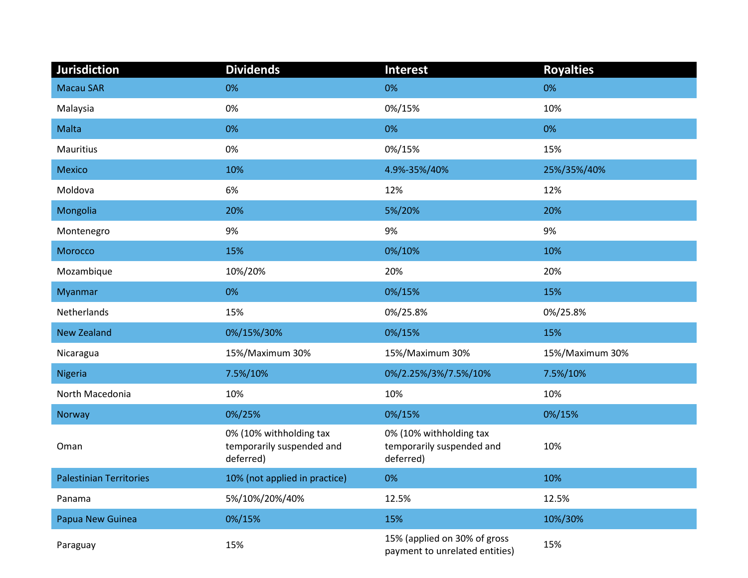| <b>Jurisdiction</b>            | <b>Dividends</b>                                                  | <b>Interest</b>                                                   | <b>Royalties</b> |
|--------------------------------|-------------------------------------------------------------------|-------------------------------------------------------------------|------------------|
| <b>Macau SAR</b>               | 0%                                                                | 0%                                                                | 0%               |
| Malaysia                       | 0%                                                                | 0%/15%                                                            | 10%              |
| Malta                          | 0%                                                                | 0%                                                                | 0%               |
| Mauritius                      | 0%                                                                | 0%/15%                                                            | 15%              |
| Mexico                         | 10%                                                               | 4.9%-35%/40%                                                      | 25%/35%/40%      |
| Moldova                        | 6%                                                                | 12%                                                               | 12%              |
| Mongolia                       | 20%                                                               | 5%/20%                                                            | 20%              |
| Montenegro                     | 9%                                                                | 9%                                                                | 9%               |
| Morocco                        | 15%                                                               | 0%/10%                                                            | 10%              |
| Mozambique                     | 10%/20%                                                           | 20%                                                               | 20%              |
| Myanmar                        | 0%                                                                | 0%/15%                                                            | 15%              |
| Netherlands                    | 15%                                                               | 0%/25.8%                                                          | 0%/25.8%         |
| <b>New Zealand</b>             | 0%/15%/30%                                                        | 0%/15%                                                            | 15%              |
| Nicaragua                      | 15%/Maximum 30%                                                   | 15%/Maximum 30%                                                   | 15%/Maximum 30%  |
| Nigeria                        | 7.5%/10%                                                          | 0%/2.25%/3%/7.5%/10%                                              | 7.5%/10%         |
| North Macedonia                | 10%                                                               | 10%                                                               | 10%              |
| Norway                         | 0%/25%                                                            | 0%/15%                                                            | 0%/15%           |
| Oman                           | 0% (10% withholding tax<br>temporarily suspended and<br>deferred) | 0% (10% withholding tax<br>temporarily suspended and<br>deferred) | 10%              |
| <b>Palestinian Territories</b> | 10% (not applied in practice)                                     | 0%                                                                | 10%              |
| Panama                         | 5%/10%/20%/40%                                                    | 12.5%                                                             | 12.5%            |
| Papua New Guinea               | 0%/15%                                                            | 15%                                                               | 10%/30%          |
| Paraguay                       | 15%                                                               | 15% (applied on 30% of gross<br>payment to unrelated entities)    | 15%              |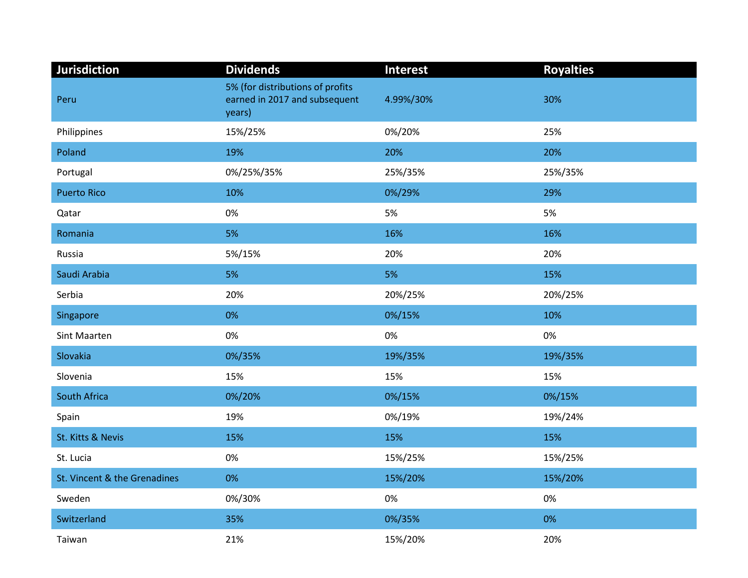| Jurisdiction                 | <b>Dividends</b>                                                            | <b>Interest</b> | <b>Royalties</b> |
|------------------------------|-----------------------------------------------------------------------------|-----------------|------------------|
| Peru                         | 5% (for distributions of profits<br>earned in 2017 and subsequent<br>years) | 4.99%/30%       | 30%              |
| Philippines                  | 15%/25%                                                                     | 0%/20%          | 25%              |
| Poland                       | 19%                                                                         | 20%             | 20%              |
| Portugal                     | 0%/25%/35%                                                                  | 25%/35%         | 25%/35%          |
| <b>Puerto Rico</b>           | 10%                                                                         | 0%/29%          | 29%              |
| Qatar                        | 0%                                                                          | 5%              | 5%               |
| Romania                      | 5%                                                                          | 16%             | 16%              |
| Russia                       | 5%/15%                                                                      | 20%             | 20%              |
| Saudi Arabia                 | 5%                                                                          | 5%              | 15%              |
| Serbia                       | 20%                                                                         | 20%/25%         | 20%/25%          |
| Singapore                    | 0%                                                                          | 0%/15%          | 10%              |
| <b>Sint Maarten</b>          | 0%                                                                          | 0%              | 0%               |
| Slovakia                     | 0%/35%                                                                      | 19%/35%         | 19%/35%          |
| Slovenia                     | 15%                                                                         | 15%             | 15%              |
| South Africa                 | 0%/20%                                                                      | 0%/15%          | 0%/15%           |
| Spain                        | 19%                                                                         | 0%/19%          | 19%/24%          |
| St. Kitts & Nevis            | 15%                                                                         | 15%             | 15%              |
| St. Lucia                    | 0%                                                                          | 15%/25%         | 15%/25%          |
| St. Vincent & the Grenadines | 0%                                                                          | 15%/20%         | 15%/20%          |
| Sweden                       | 0%/30%                                                                      | 0%              | 0%               |
| Switzerland                  | 35%                                                                         | 0%/35%          | 0%               |
| Taiwan                       | 21%                                                                         | 15%/20%         | 20%              |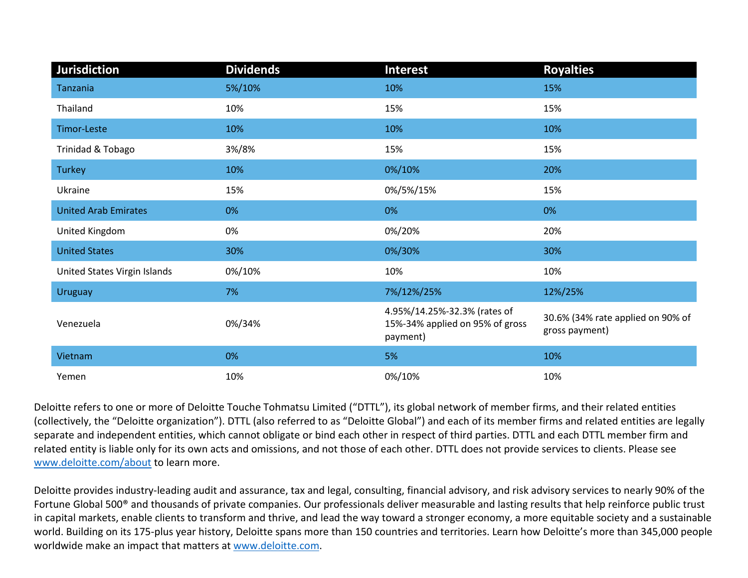| <b>Jurisdiction</b>          | <b>Dividends</b> | <b>Interest</b>                                                             | <b>Royalties</b>                                    |
|------------------------------|------------------|-----------------------------------------------------------------------------|-----------------------------------------------------|
| Tanzania                     | 5%/10%           | 10%                                                                         | 15%                                                 |
| Thailand                     | 10%              | 15%                                                                         | 15%                                                 |
| Timor-Leste                  | 10%              | 10%                                                                         | 10%                                                 |
| Trinidad & Tobago            | 3%/8%            | 15%                                                                         | 15%                                                 |
| <b>Turkey</b>                | 10%              | 0%/10%                                                                      | 20%                                                 |
| Ukraine                      | 15%              | 0%/5%/15%                                                                   | 15%                                                 |
| <b>United Arab Emirates</b>  | 0%               | 0%                                                                          | 0%                                                  |
| United Kingdom               | 0%               | 0%/20%                                                                      | 20%                                                 |
| <b>United States</b>         | 30%              | 0%/30%                                                                      | 30%                                                 |
| United States Virgin Islands | 0%/10%           | 10%                                                                         | 10%                                                 |
| <b>Uruguay</b>               | 7%               | 7%/12%/25%                                                                  | 12%/25%                                             |
| Venezuela                    | 0%/34%           | 4.95%/14.25%-32.3% (rates of<br>15%-34% applied on 95% of gross<br>payment) | 30.6% (34% rate applied on 90% of<br>gross payment) |
| Vietnam                      | 0%               | 5%                                                                          | 10%                                                 |
| Yemen                        | 10%              | 0%/10%                                                                      | 10%                                                 |

Deloitte refers to one or more of Deloitte Touche Tohmatsu Limited ("DTTL"), its global network of member firms, and their related entities (collectively, the "Deloitte organization"). DTTL (also referred to as "Deloitte Global") and each of its member firms and related entities are legally separate and independent entities, which cannot obligate or bind each other in respect of third parties. DTTL and each DTTL member firm and related entity is liable only for its own acts and omissions, and not those of each other. DTTL does not provide services to clients. Please see [www.deloitte.com/about](http://www.deloitte.com/about) to learn more.

Deloitte provides industry-leading audit and assurance, tax and legal, consulting, financial advisory, and risk advisory services to nearly 90% of the Fortune Global 500® and thousands of private companies. Our professionals deliver measurable and lasting results that help reinforce public trust in capital markets, enable clients to transform and thrive, and lead the way toward a stronger economy, a more equitable society and a sustainable world. Building on its 175-plus year history, Deloitte spans more than 150 countries and territories. Learn how Deloitte's more than 345,000 people worldwide make an impact that matters at [www.deloitte.com.](http://www.deloitte.com/)